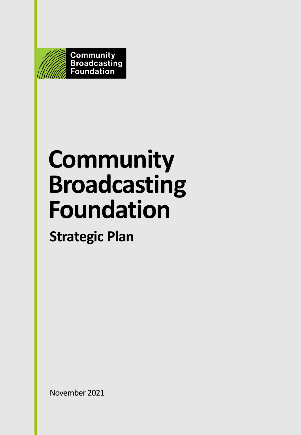

# **Community Broadcasting Foundation**

**Strategic Plan**

November 2021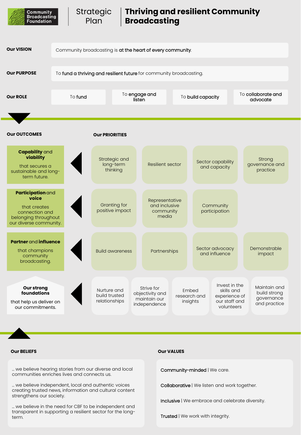

Strategic Plan

## **Thriving and resilient Community Broadcasting**



… we believe hearing stories from our diverse and local communities enriches lives and connects us.

… we believe independent, local and authentic voices creating trusted news, information and cultural content strengthens our society.

… we believe in the need for CBF to be independent and transparent in supporting a resilient sector for the longterm.

### **Our BELIEFS Our VALUES**

Community-minded | We care.

Collaborative | We listen and work together.

Inclusive | We embrace and celebrate diversity.

Trusted | We work with integrity.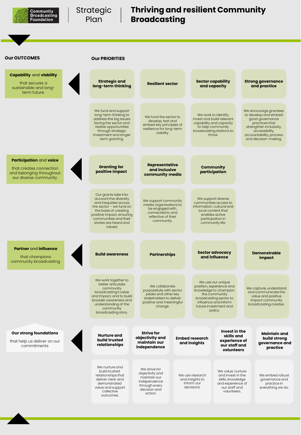

Strategic | Plan

## **Thriving and resilient Community Broadcasting**

### **Our OUTCOMES**

| ur OUTCOMES                                                                                              | <b>Our PRIORITIES</b>                                                                                                                                                                                                  |                                                                                                                                    |                                                                                                                                                                                  |                                                                                                                                                                                    |
|----------------------------------------------------------------------------------------------------------|------------------------------------------------------------------------------------------------------------------------------------------------------------------------------------------------------------------------|------------------------------------------------------------------------------------------------------------------------------------|----------------------------------------------------------------------------------------------------------------------------------------------------------------------------------|------------------------------------------------------------------------------------------------------------------------------------------------------------------------------------|
| <b>Capability and viability</b><br>that secures a<br>sustainable and long-<br>term future.               | Strategic and<br>long-term thinking                                                                                                                                                                                    | <b>Resilient sector</b>                                                                                                            | <b>Sector capability</b><br>and capacity                                                                                                                                         | <b>Strong governance</b><br>and practice                                                                                                                                           |
|                                                                                                          | We fund and support<br>long-term thinking to<br>address the big issues<br>facing the sector and<br>realise opportunities<br>through strategic<br>investment and longer<br>term granting.                               | We fund the sector to<br>develop, test and<br>embed key principles of<br>resilience for long-term<br>viability.                    | We work to identify,<br>invest and build relevant<br>capability and capacity<br>to help community<br>broadcasting stations to<br>thrive.                                         | We encourage grantees<br>to develop and embed<br>good governance<br>practices that<br>strengthen inclusivity,<br>accessibility,<br>accountability, process<br>and decision-making. |
| Participation and voice<br>that creates connection<br>and belonging throughout<br>our diverse community. | <b>Granting for</b><br>positive impact                                                                                                                                                                                 | <b>Representative</b><br>and inclusive<br>community media                                                                          | Community<br>participation                                                                                                                                                       |                                                                                                                                                                                    |
|                                                                                                          | Our grants take into<br>account the diversity<br>and inequities across<br>the sector $-$ we fund on<br>the basis of creating<br>positive impact, ensuring<br>communities and their<br>stories are heard and<br>valued. | We support community<br>media organisations to<br>be engaged with,<br>connected to and<br>reflective of their<br>community.        | We support diverse<br>communities access to<br>information, cultural and<br>local content that<br>enables active<br>participation in<br>community life.                          |                                                                                                                                                                                    |
| Partner and influence<br>that champions<br>community broadcasting.                                       | <b>Build awareness</b>                                                                                                                                                                                                 | <b>Partnerships</b>                                                                                                                | Sector advocacy<br>and influence                                                                                                                                                 | <b>Demonstrable</b><br>impact                                                                                                                                                      |
|                                                                                                          | We work together to<br>better articulate<br>community<br>broadcasting's value<br>and impact, and to build<br>broader awareness and<br>understanding of the<br>community<br>broadcasting story.                         | We collaborate<br>purposefully with sector<br>peaks and other key<br>stakeholders to deliver<br>positive and meaningful<br>change. | We use our unique<br>position, experience and<br>knowledge to champion<br>the community<br>broadcasting sector to<br>influence and inform<br>future investment and<br>policy.    | We capture, understand<br>and communicate the<br>value and positive<br>impact community<br>broadcasting creates.                                                                   |
| <b>Our strong foundations</b><br>that help us deliver on our<br>commitments                              | <b>Nurture and</b><br>build trusted<br>relationships                                                                                                                                                                   | <b>Strive for</b><br>objectivity and<br>maintain our<br>independence                                                               | Invest in the<br>skills and<br><b>Embed research</b><br>experience of<br>and insights<br>our staff and<br>volunteers                                                             | Maintain and<br>build strong<br>governance and<br>practice                                                                                                                         |
|                                                                                                          | We nurture and<br>build trusted<br>relationships that<br>deliver clear and<br>demonstrated<br>value and support                                                                                                        | We strive for<br>objectivity and<br>maintain our<br>independence<br>through every<br>decision and                                  | We value, nurture<br>We use research<br>and invest in the<br>and insights to<br>skills, knowledge<br>inform our<br>and experience of<br>our staff and<br>decisions.<br>مطحب بالح | We embed robust<br>governance and<br>practice in<br>everything we do.                                                                                                              |

collective outcomes.

action.

volunteers.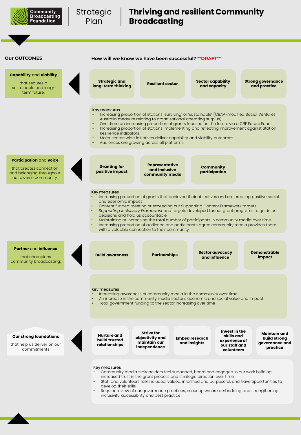

## **Thriving and resilient Community Broadcasting**

### **Our OUTCOMES**

**Capability** and **viability** that secures a

sustainable and longterm future.

**How will we know we have been successful? \*\*DRAFT\*\***

**Resilient sector Sector capability and capacity**

> **Community participation**

**Strong governance and practice**

#### Key measures

**Strategic and long-term thinking**

- Increasing proportion of stations 'surviving' or 'sustainable' (CBAA-modified Social Ventures Australia measure relating to organisational operating surplus)
- Over time an increasing proportion of grants focused on the future via a CBF Future Fund
	- Increasing proportion of stations implementing and reflecting improvement against Station Resilience indicators
	- Major sector-wide initiatives deliver capability and viability outcomes

**Representative and inclusive community media**

• Audiences are growing across all platforms

#### **Participation** and **voice**

that creates connection and belonging throughout our diverse community.

#### Key measures

**Granting for positive impact**

- Increasing proportion of grants that achieved their objectives and are creating positive social and economic impact
	- Content funded meeting or exceeding our [Supporting Content Framework](https://cbf.org.au/grants/grants-available/content/supporting-content-framework/) targets
- *Supporting Inclusivity Framework* and targets developed for our grant programs to guide our decisions and hold us accountable
- Maintaining or increasing the total number of participants in community media over time • Increasing proportion of audience and participants agree community media provides them with a valuable connection to their community

## **Partner** and **influence**

that champions community broadcasting.



#### Key measures

- Increasing awareness of community media in the community over time
- An increase in the community media sector's economic and social value and impact
- Total government funding to the sector increasing over time

#### **Our strong foundations**

that help us deliver on our commitments

**Nurture and build trusted relationships**

**Strive for objectivity and maintain our independence** **Embed research and insights**

**Invest in the skills and experience of our staff and volunteers**

**Maintain and build strong governance and practice**

#### Key measures

- Community media stakeholders feel supported, heard and engaged in our work building increased trust in the grant process and strategic direction over time
- Staff and volunteers feel included, valued, informed and purposeful, and have opportunities to develop their skills
- Regular review of our governance practices, ensuring we are embedding and strengthening inclusivity, accessibility and best practice